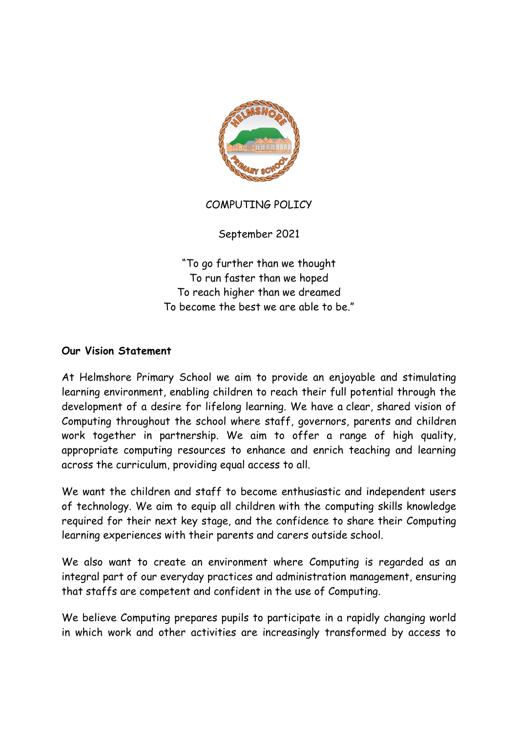

### COMPUTING POLICY

September 2021

"To go further than we thought To run faster than we hoped To reach higher than we dreamed To become the best we are able to be."

#### **Our Vision Statement**

At Helmshore Primary School we aim to provide an enjoyable and stimulating learning environment, enabling children to reach their full potential through the development of a desire for lifelong learning. We have a clear, shared vision of Computing throughout the school where staff, governors, parents and children work together in partnership. We aim to offer a range of high quality, appropriate computing resources to enhance and enrich teaching and learning across the curriculum, providing equal access to all.

We want the children and staff to become enthusiastic and independent users of technology. We aim to equip all children with the computing skills knowledge required for their next key stage, and the confidence to share their Computing learning experiences with their parents and carers outside school.

We also want to create an environment where Computing is regarded as an integral part of our everyday practices and administration management, ensuring that staffs are competent and confident in the use of Computing.

We believe Computing prepares pupils to participate in a rapidly changing world in which work and other activities are increasingly transformed by access to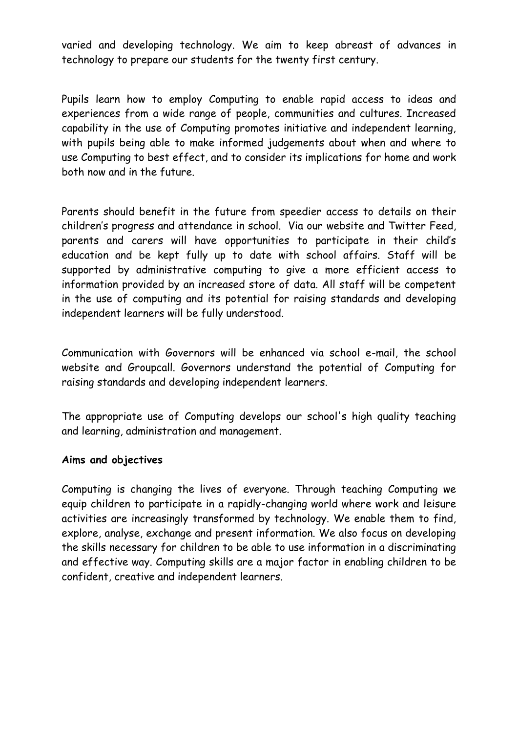varied and developing technology. We aim to keep abreast of advances in technology to prepare our students for the twenty first century.

Pupils learn how to employ Computing to enable rapid access to ideas and experiences from a wide range of people, communities and cultures. Increased capability in the use of Computing promotes initiative and independent learning, with pupils being able to make informed judgements about when and where to use Computing to best effect, and to consider its implications for home and work both now and in the future.

Parents should benefit in the future from speedier access to details on their children's progress and attendance in school. Via our website and Twitter Feed, parents and carers will have opportunities to participate in their child's education and be kept fully up to date with school affairs. Staff will be supported by administrative computing to give a more efficient access to information provided by an increased store of data. All staff will be competent in the use of computing and its potential for raising standards and developing independent learners will be fully understood.

Communication with Governors will be enhanced via school e-mail, the school website and Groupcall. Governors understand the potential of Computing for raising standards and developing independent learners.

The appropriate use of Computing develops our school's high quality teaching and learning, administration and management.

#### **Aims and objectives**

Computing is changing the lives of everyone. Through teaching Computing we equip children to participate in a rapidly-changing world where work and leisure activities are increasingly transformed by technology. We enable them to find, explore, analyse, exchange and present information. We also focus on developing the skills necessary for children to be able to use information in a discriminating and effective way. Computing skills are a major factor in enabling children to be confident, creative and independent learners.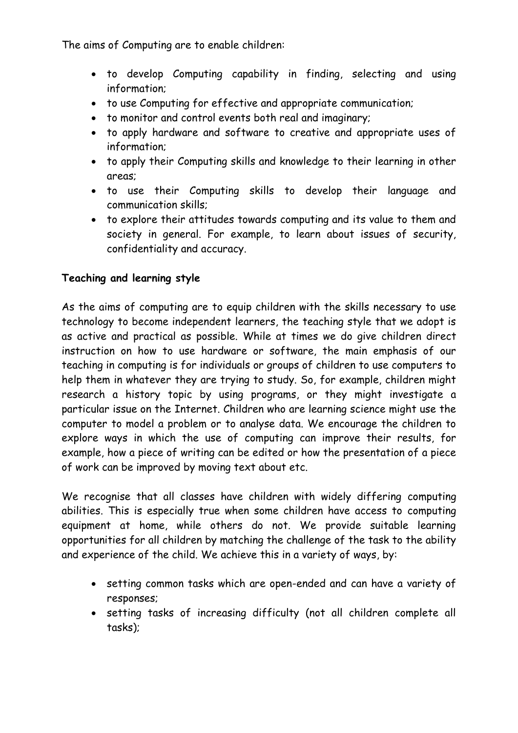The aims of Computing are to enable children:

- to develop Computing capability in finding, selecting and using information;
- to use Computing for effective and appropriate communication;
- to monitor and control events both real and imaginary;
- to apply hardware and software to creative and appropriate uses of information;
- to apply their Computing skills and knowledge to their learning in other areas;
- to use their Computing skills to develop their language and communication skills;
- to explore their attitudes towards computing and its value to them and society in general. For example, to learn about issues of security, confidentiality and accuracy.

# **Teaching and learning style**

As the aims of computing are to equip children with the skills necessary to use technology to become independent learners, the teaching style that we adopt is as active and practical as possible. While at times we do give children direct instruction on how to use hardware or software, the main emphasis of our teaching in computing is for individuals or groups of children to use computers to help them in whatever they are trying to study. So, for example, children might research a history topic by using programs, or they might investigate a particular issue on the Internet. Children who are learning science might use the computer to model a problem or to analyse data. We encourage the children to explore ways in which the use of computing can improve their results, for example, how a piece of writing can be edited or how the presentation of a piece of work can be improved by moving text about etc.

We recognise that all classes have children with widely differing computing abilities. This is especially true when some children have access to computing equipment at home, while others do not. We provide suitable learning opportunities for all children by matching the challenge of the task to the ability and experience of the child. We achieve this in a variety of ways, by:

- setting common tasks which are open-ended and can have a variety of responses;
- setting tasks of increasing difficulty (not all children complete all tasks);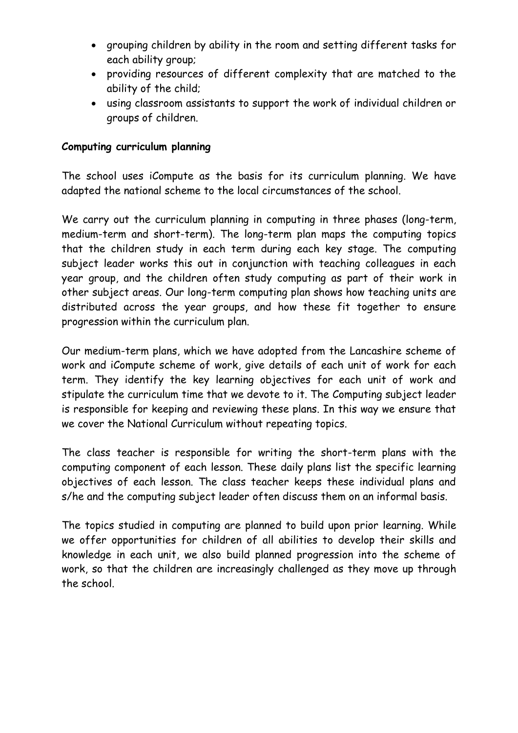- grouping children by ability in the room and setting different tasks for each ability group;
- providing resources of different complexity that are matched to the ability of the child;
- using classroom assistants to support the work of individual children or groups of children.

#### **Computing curriculum planning**

The school uses iCompute as the basis for its curriculum planning. We have adapted the national scheme to the local circumstances of the school.

We carry out the curriculum planning in computing in three phases (long-term, medium-term and short-term). The long-term plan maps the computing topics that the children study in each term during each key stage. The computing subject leader works this out in conjunction with teaching colleagues in each year group, and the children often study computing as part of their work in other subject areas. Our long-term computing plan shows how teaching units are distributed across the year groups, and how these fit together to ensure progression within the curriculum plan.

Our medium-term plans, which we have adopted from the Lancashire scheme of work and iCompute scheme of work, give details of each unit of work for each term. They identify the key learning objectives for each unit of work and stipulate the curriculum time that we devote to it. The Computing subject leader is responsible for keeping and reviewing these plans. In this way we ensure that we cover the National Curriculum without repeating topics.

The class teacher is responsible for writing the short-term plans with the computing component of each lesson. These daily plans list the specific learning objectives of each lesson. The class teacher keeps these individual plans and s/he and the computing subject leader often discuss them on an informal basis.

The topics studied in computing are planned to build upon prior learning. While we offer opportunities for children of all abilities to develop their skills and knowledge in each unit, we also build planned progression into the scheme of work, so that the children are increasingly challenged as they move up through the school.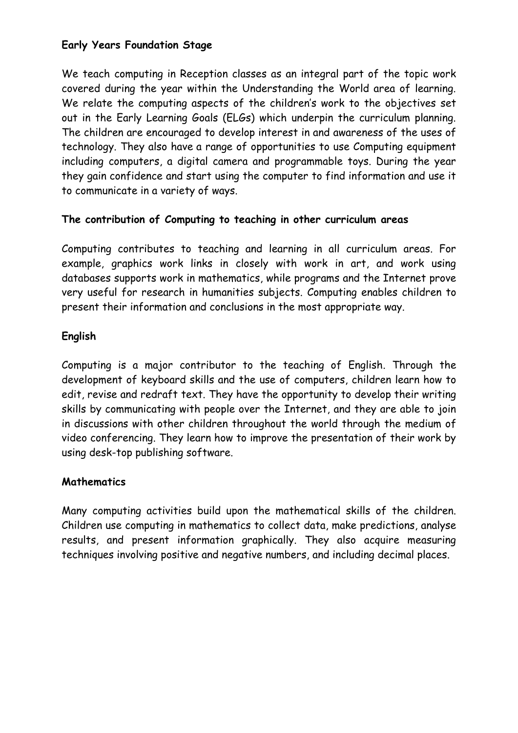## **Early Years Foundation Stage**

We teach computing in Reception classes as an integral part of the topic work covered during the year within the Understanding the World area of learning. We relate the computing aspects of the children's work to the objectives set out in the Early Learning Goals (ELGs) which underpin the curriculum planning. The children are encouraged to develop interest in and awareness of the uses of technology. They also have a range of opportunities to use Computing equipment including computers, a digital camera and programmable toys. During the year they gain confidence and start using the computer to find information and use it to communicate in a variety of ways.

### **The contribution of Computing to teaching in other curriculum areas**

Computing contributes to teaching and learning in all curriculum areas. For example, graphics work links in closely with work in art, and work using databases supports work in mathematics, while programs and the Internet prove very useful for research in humanities subjects. Computing enables children to present their information and conclusions in the most appropriate way.

### **English**

Computing is a major contributor to the teaching of English. Through the development of keyboard skills and the use of computers, children learn how to edit, revise and redraft text. They have the opportunity to develop their writing skills by communicating with people over the Internet, and they are able to join in discussions with other children throughout the world through the medium of video conferencing. They learn how to improve the presentation of their work by using desk-top publishing software.

#### **Mathematics**

Many computing activities build upon the mathematical skills of the children. Children use computing in mathematics to collect data, make predictions, analyse results, and present information graphically. They also acquire measuring techniques involving positive and negative numbers, and including decimal places.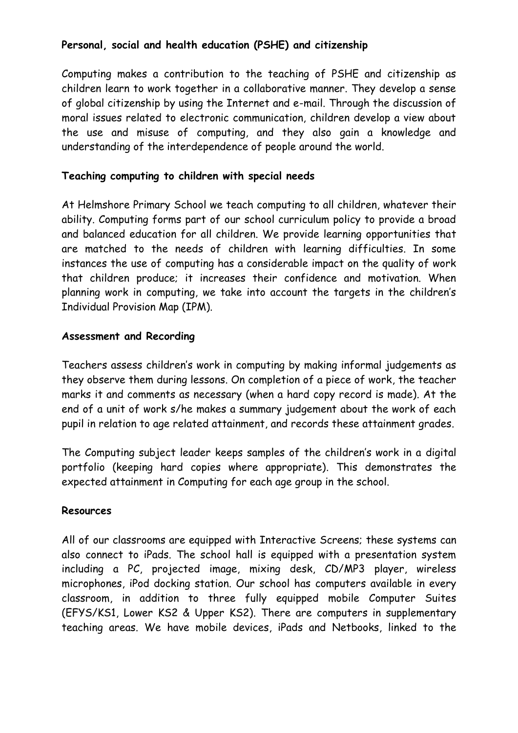## **Personal, social and health education (PSHE) and citizenship**

Computing makes a contribution to the teaching of PSHE and citizenship as children learn to work together in a collaborative manner. They develop a sense of global citizenship by using the Internet and e-mail. Through the discussion of moral issues related to electronic communication, children develop a view about the use and misuse of computing, and they also gain a knowledge and understanding of the interdependence of people around the world.

## **Teaching computing to children with special needs**

At Helmshore Primary School we teach computing to all children, whatever their ability. Computing forms part of our school curriculum policy to provide a broad and balanced education for all children. We provide learning opportunities that are matched to the needs of children with learning difficulties. In some instances the use of computing has a considerable impact on the quality of work that children produce; it increases their confidence and motivation. When planning work in computing, we take into account the targets in the children's Individual Provision Map (IPM).

#### **Assessment and Recording**

Teachers assess children's work in computing by making informal judgements as they observe them during lessons. On completion of a piece of work, the teacher marks it and comments as necessary (when a hard copy record is made). At the end of a unit of work s/he makes a summary judgement about the work of each pupil in relation to age related attainment, and records these attainment grades.

The Computing subject leader keeps samples of the children's work in a digital portfolio (keeping hard copies where appropriate). This demonstrates the expected attainment in Computing for each age group in the school.

#### **Resources**

All of our classrooms are equipped with Interactive Screens; these systems can also connect to iPads. The school hall is equipped with a presentation system including a PC, projected image, mixing desk, CD/MP3 player, wireless microphones, iPod docking station. Our school has computers available in every classroom, in addition to three fully equipped mobile Computer Suites (EFYS/KS1, Lower KS2 & Upper KS2). There are computers in supplementary teaching areas. We have mobile devices, iPads and Netbooks, linked to the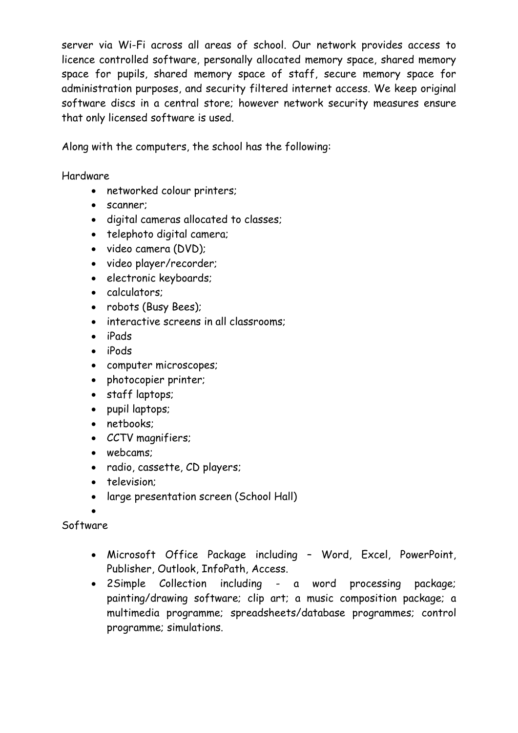server via Wi-Fi across all areas of school. Our network provides access to licence controlled software, personally allocated memory space, shared memory space for pupils, shared memory space of staff, secure memory space for administration purposes, and security filtered internet access. We keep original software discs in a central store; however network security measures ensure that only licensed software is used.

Along with the computers, the school has the following:

Hardware

- networked colour printers;
- scanner;
- digital cameras allocated to classes;
- telephoto digital camera;
- video camera (DVD);
- video player/recorder;
- electronic keyboards;
- calculators:
- robots (Busy Bees);
- interactive screens in all classrooms;
- iPads
- iPods
- computer microscopes;
- photocopier printer;
- staff laptops;
- pupil laptops;
- netbooks:
- CCTV magnifiers;
- webcams;
- radio, cassette, CD players;
- television:
- large presentation screen (School Hall)
- $\bullet$

Software

- Microsoft Office Package including Word, Excel, PowerPoint, Publisher, Outlook, InfoPath, Access.
- 2Simple Collection including a word processing package; painting/drawing software; clip art; a music composition package; a multimedia programme; spreadsheets/database programmes; control programme; simulations.